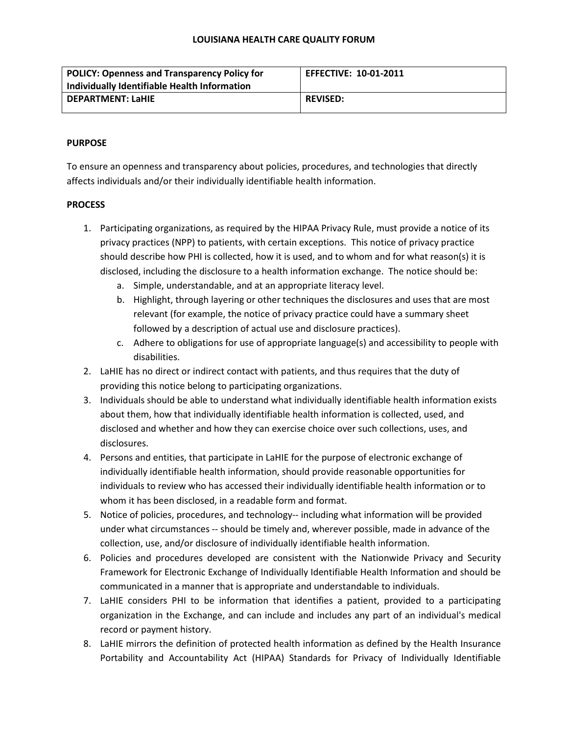#### **LOUISIANA HEALTH CARE QUALITY FORUM**

| <b>POLICY: Openness and Transparency Policy for</b> | <b>EFFECTIVE: 10-01-2011</b> |
|-----------------------------------------------------|------------------------------|
| Individually Identifiable Health Information        |                              |
| <b>DEPARTMENT: LaHIE</b>                            | <b>REVISED:</b>              |
|                                                     |                              |

# **PURPOSE**

To ensure an openness and transparency about policies, procedures, and technologies that directly affects individuals and/or their individually identifiable health information.

# **PROCESS**

- 1. Participating organizations, as required by the HIPAA Privacy Rule, must provide a notice of its privacy practices (NPP) to patients, with certain exceptions. This notice of privacy practice should describe how PHI is collected, how it is used, and to whom and for what reason(s) it is disclosed, including the disclosure to a health information exchange. The notice should be:
	- a. Simple, understandable, and at an appropriate literacy level.
	- b. Highlight, through layering or other techniques the disclosures and uses that are most relevant (for example, the notice of privacy practice could have a summary sheet followed by a description of actual use and disclosure practices).
	- c. Adhere to obligations for use of appropriate language(s) and accessibility to people with disabilities.
- 2. LaHIE has no direct or indirect contact with patients, and thus requires that the duty of providing this notice belong to participating organizations.
- 3. Individuals should be able to understand what individually identifiable health information exists about them, how that individually identifiable health information is collected, used, and disclosed and whether and how they can exercise choice over such collections, uses, and disclosures.
- 4. Persons and entities, that participate in LaHIE for the purpose of electronic exchange of individually identifiable health information, should provide reasonable opportunities for individuals to review who has accessed their individually identifiable health information or to whom it has been disclosed, in a readable form and format.
- 5. Notice of policies, procedures, and technology-- including what information will be provided under what circumstances -- should be timely and, wherever possible, made in advance of the collection, use, and/or disclosure of individually identifiable health information.
- 6. Policies and procedures developed are consistent with the Nationwide Privacy and Security Framework for Electronic Exchange of Individually Identifiable Health Information and should be communicated in a manner that is appropriate and understandable to individuals.
- 7. LaHIE considers PHI to be information that identifies a patient, provided to a participating organization in the Exchange, and can include and includes any part of an individual's medical record or payment history.
- 8. LaHIE mirrors the definition of protected health information as defined by the Health Insurance Portability and Accountability Act (HIPAA) Standards for Privacy of Individually Identifiable